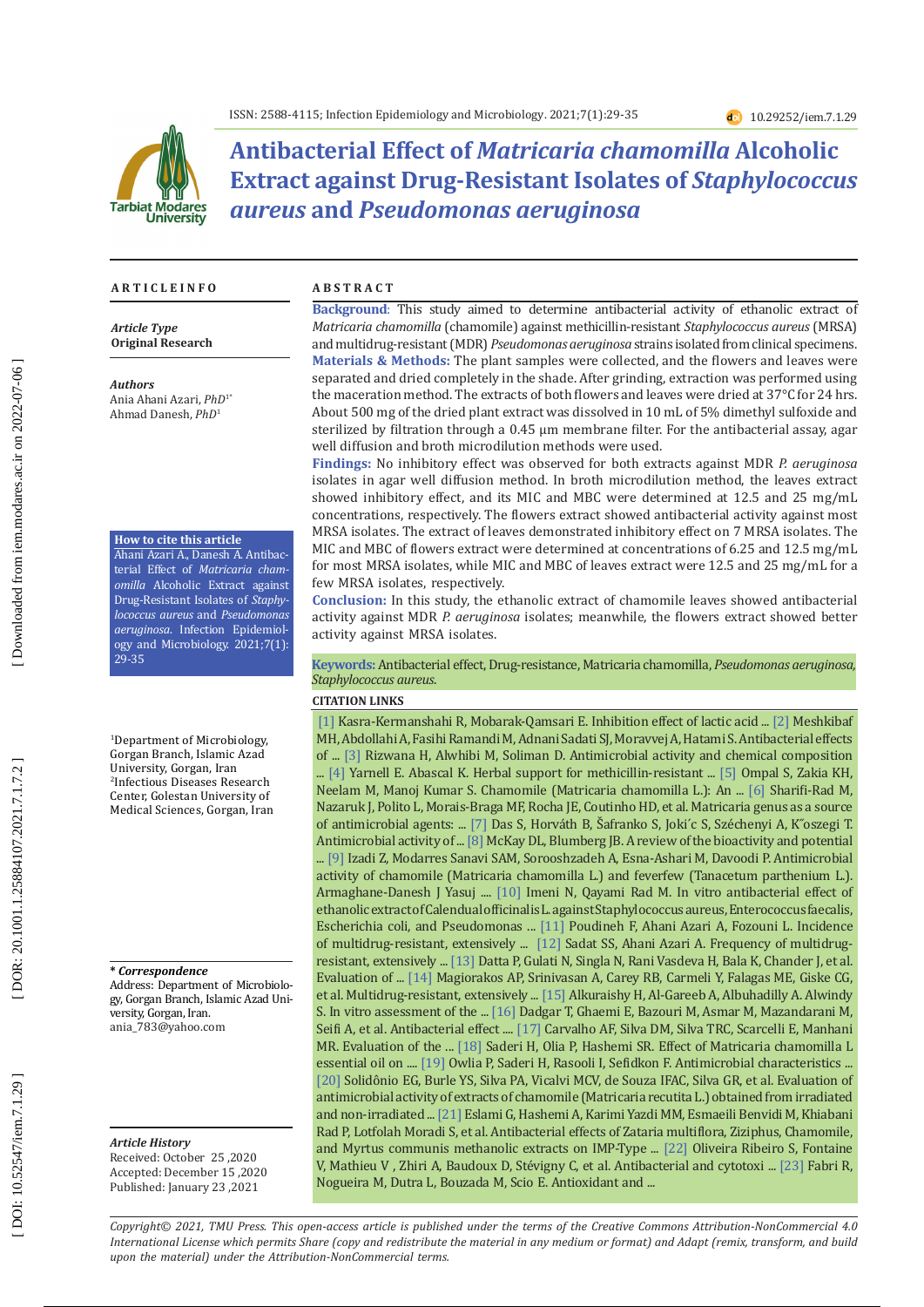

**Antibacterial Effect of** *Matricaria chamomilla* **Alcoholic Extract against Drug-Resistant Isolates of** *Staphylococcus aureus* **and** *Pseudomonas aeruginosa*

#### **A R T I C L E I N F O**

*Article Type* **Original Research**

*Authors* Ania Ahani Azari, *PhD*1\* Ahmad Danesh, *PhD* 1

#### **How to cite this article**

Ahani Azari A., Danesh A. Antibac terial Effect of *Matricaria cham omilla* Alcoholic Extract against Drug-Resistant Isolates of *Staphy lococcus aureus* and *Pseudomonas aeruginosa*. Infection Epidemiol ogy and Microbiology. 2021;7(1): 29-35

1 Department of Microbiology, Gorgan Branch, Islamic Azad University, Gorgan, Iran 2 Infectious Diseases Research Center, Golestan University of Medical Sciences, Gorgan, Iran

### **\*** *Correspondence*

Address: Department of Microbiolo gy, Gorgan Branch, Islamic Azad Uni versity, Gorgan, Iran. ania\_783@yahoo.com

### *Article History*

Received: October 25 ,2020 Accepted: December 15 ,2020 Published: January 23 ,2021

#### **A B S T R A C T**

**Background** : This study aimed to determine antibacterial activity of ethanolic extract of *Matricaria chamomilla* (chamomile) against methicillin-resistant *Staphylococcus aureus* (MRSA) and multidrug-resistant (MDR) *Pseudomonas aeruginosa* strains isolated from clinical specimens. **Materials & Methods:** The plant samples were collected, and the flowers and leaves were separated and dried completely in the shade. After grinding, extraction was performed using the maceration method. The extracts of both flowers and leaves were dried at 37°C for 24 hrs. About 500 mg of the dried plant extract was dissolved in 10 mL of 5% dimethyl sulfoxide and sterilized by filtration through a  $0.45 \mu m$  membrane filter. For the antibacterial assay, agar well diffusion and broth microdilution methods were used.

**Findings:** No inhibitory effect was observed for both extracts against MDR *P. aeruginosa* isolates in agar well diffusion method. In broth microdilution method, the leaves extract showed inhibitory effect, and its MIC and MBC were determined at 12.5 and 25 mg/mL concentrations, respectively. The flowers extract showed antibacterial activity against most MRSA isolates. The extract of leaves demonstrated inhibitory effect on 7 MRSA isolates. The MIC and MBC of flowers extract were determined at concentrations of 6.25 and 12.5 mg/mL for most MRSA isolates, while MIC and MBC of leaves extract were 12.5 and 25 mg/mL for a few MRSA isolates, respectively.

**Conclusion:** In this study, the ethanolic extract of chamomile leaves showed antibacterial activity against MDR *P. aeruginosa* isolates; meanwhile, the flowers extract showed better activity against MRSA isolates.

**Keywords:** Antibacterial effect, Drug-resistance, Matricaria chamomilla, *Pseudomonas aeruginosa, Staphylococcus aureus* .

### **CITATION LINKS**

of ... [3] Rizwana H, Alwhibi M, Soliman D. Antimicrobial activity and chemical composition [\[1\]](https://journals.sbmu.ac.ir/afb/article/view/8894) Kasra-Kermanshahi R, Mobarak-Qamsari E. Inhibition effect of lactic acid ... [\[2\]](https://www.cabdirect.org/cabdirect/abstract/20113249167) Meshkibaf MH, Abdollahi A, Fasihi Ramandi M, Adnani Sadati SJ, Moravvej A, Hatami S. Antibacterial effects ... [\[4\]](https://www.google.com/url?sa=t&rct=j&q=&esrc=s&source=web&cd=&cad=rja&uact=8&ved=2ahUKEwjtgvnPx_buAhXQQEEAHdrjBkAQFjABegQIARAD&url=https%3A%2F%2Fwww.researchgate.net%2Fpublication%2F244889654_Herbal_Support_for_Methicillin-Resistant_Staphylococcus_aureus\
_Infections&usg=AOvVaw19M5ctgtj_TPQcuWbrUdJA) Yarnell E. Abascal K. Herbal support for methicillin-resistant ... [\[5\]](https://www.ncbi.nlm.nih.gov/pmc/articles/PMC3210003/) Ompal S, Zakia KH, Neelam M, Manoj Kumar S. Chamomile (Matricaria chamomilla L.): An ... [\[6\]](https://www.sciencedirect.com/science/article/pii/S094450131730527X) Sharifi-Rad M, Nazaruk J, Polito L, Morais-Braga MF, Rocha JE, Coutinho HD, et al. Matricaria genus as a source of antimicrobial agents: ... [\[7\]](https://www.mdpi.com/1420-3049/24/23/4321) Das S, Horváth B, Safranko S, Joki´c S, Szechenyi A, K´oszegi´l. Antimicrobial activity of ... [\[8\] M](https://onlinelibrary.wiley.com/doi/abs/10.1002/ptr.1900)cKay DL, Blumberg JB. A review of the bioactivity and potential ... [\[9\]](https://www.sid.ir/en/journal/ViewPaper.aspx?id=344854) Izadi Z, Modarres Sanavi SAM, Sorooshzadeh A, Esna-Ashari M, Davoodi P. Antimicrobial activity of chamomile (Matricaria chamomilla L.) and feverfew (Tanacetum parthenium L.). Armaghane-Danesh J Yasuj .... [\[10\]](http://zanko.muk.ac.ir/article-1-395-en.html) Imeni N, Qayami Rad M. In vitro antibacterial effect of ethanolic extract of Calendual officinalis L. against Staphylococcus aureus, Enterococcus faecalis, Escherichia coli, and Pseudomonas ... [\[11\]](https://www.google.com/url?sa=t&rct=j&q=&esrc=s&source=web&cd=&cad=rja&uact=8&ved=2ahUKEwi9md7vyvbuAhXOiVwKHVC1CsgQFjAAegQIAhAD&url=https%3A%2F%2Fiem.modares.ac.ir%2Fbrowse.php%3Fa_code%3DA-10-51934-6%26slc_lang%3Den%26sid%3D4&usg=AOvVaw0x7khociv6yGUbytdt\
9wUT) Poudineh F, Ahani Azari A, Fozouni L. Incidence of multidrug-resistant, extensively ... [\[12\]](https://www.google.com/url?sa=t&rct=j&q=&esrc=s&source=web&cd=&cad=rja&uact=8&ved=2ahUKEwiE_4amy_buAhVLQEEAHes9CjwQFjAAegQIARAD&url=https%3A%2F%2Fiem.modares.ac.ir%2Farticle-4-45757-en.html&usg=AOvVaw0bY3rbCGu9SGMq2DQglz-E) Sadat SS, Ahani Azari A. Frequency of multidrugresistant, extensively ... [\[13\]](https://www.microbiologyresearch.org/content/journal/jmm/10.1099/jmm.0.032219-0?crawler=true) Datta P, Gulati N, Singla N, Rani Vasdeva H, Bala K, Chander J, et al. Evaluation of ... [\[14\]](https://www.sciencedirect.com/science/article/pii/S1198743X14616323) Magiorakos AP, Srinivasan A, Carey RB, Carmeli Y, Falagas ME, Giske CG, et al. Multidrug-resistant, extensively ... [\[15\]](https://www.journalmrji.com/index.php/MRJI/article/view/5832) Alkuraishy H, Al-Gareeb A, Albuhadilly A. Alwindy S. In vitro assessment of the ... [\[16\]](https://www.google.com/url?sa=t&rct=j&q=&esrc=s&source=web&cd=&cad=rja&uact=8&ved=2ahUKEwja35D00vbuAhUrQUEAHYoCDpcQFjABegQIARAD&url=https%3A%2F%2Fwww.sid.ir%2Fen%2Fjournal%2FViewPaper.aspx%3Fid%3D101111&usg=AOvVaw1R28WaDp-1RoPkz0PvIlXW) Dadgar T, Ghaemi E, Bazouri M, Asmar M, Mazandarani M, Seifi A, et al. Antibacterial effect .... [\[17\]](https://www.scielo.br/scielo.php?pid=S1516-05722014000300007&script=sci_arttext) Carvalho AF, Silva DM, Silva TRC, Scarcelli E, Manhani MR. Evaluation of the ... [\[18\]](http://www.ijmm.ir/browse.php?a_code=A-10-1-55&slc_lang=en&sid=1) Saderi H, Olia P, Hashemi SR. Effect of Matricaria chamomilla L essential oil on .... [\[19\]](https://www.sid.ir/en/Journal/ViewPaper.aspx?ID=140616) Owlia P, Saderi H, Rasooli I, Sefidkon F. Antimicrobial characteristics ... [\[20\]](https://www.researchgate.net/profile/Glezia_Silva-Lacerda/publication/297730905_Evaluation_of_antimicrobial_activity_of_extracts_of_chamomile_Matricaria_recutita_L_obtained_from_irradiated_and_non-irradiated_samples/links/56fa7eb508aede4cf4fa50cd.pdf) Solidônio EG, Burle YS, Silva PA, Vicalvi MCV, de Souza IFAC, Silva GR, et al. Evaluation of antimicrobial activity of extracts of chamomile (Matricaria recutita L.) obtained from irradiated and non-irradiated ... [\[21\]](http://archcid.portal.tools/?page=article&article_id=32413) Eslami G, Hashemi A, Karimi Yazdi MM, Esmaeili Benvidi M, Khiabani Rad P, Lotfolah Moradi S, et al. Antibacterial effects of Zataria multiflora, Ziziphus, Chamomile, and Myrtus communis methanolic extracts on IMP-Type ... [\[22\]](https://www.mdpi.com/2079-6382/9/10/717) Oliveira Ribeiro S, Fontaine V, Mathieu V , Zhiri A, Baudoux D, Stévigny C, et al. Antibacterial and cytotoxi ... [\[23\]](https://www.google.com/url?sa=t&rct=j&q=&esrc=s&source=web&cd=&cad=rja&uact=8&ved=2ahUKEwigj-vu2PbuAhVVt3EKHfm6D48QFjAAegQIARAD&url=https%3A%2F%2Fwww.researchgate.net%2Fpublication%2F262543525_Antioxidant_and_antimicrobial_potential_of_Asteraceae_species&\
usg=AOvVaw0qHwx9Xqmi4xEEDfvHS7Wc) Fabri R, Nogueira M, Dutra L, Bouzada M, Scio E. Antioxidant and ...

*Copyright© 2021, TMU Press. This open-access article is published under the terms of the Creative Commons Attribution-NonCommercial 4.0 International License which permits Share (copy and redistribute the material in any medium or format) and Adapt (remix, transform, and build upon the material) under the Attribution-NonCommercial terms.*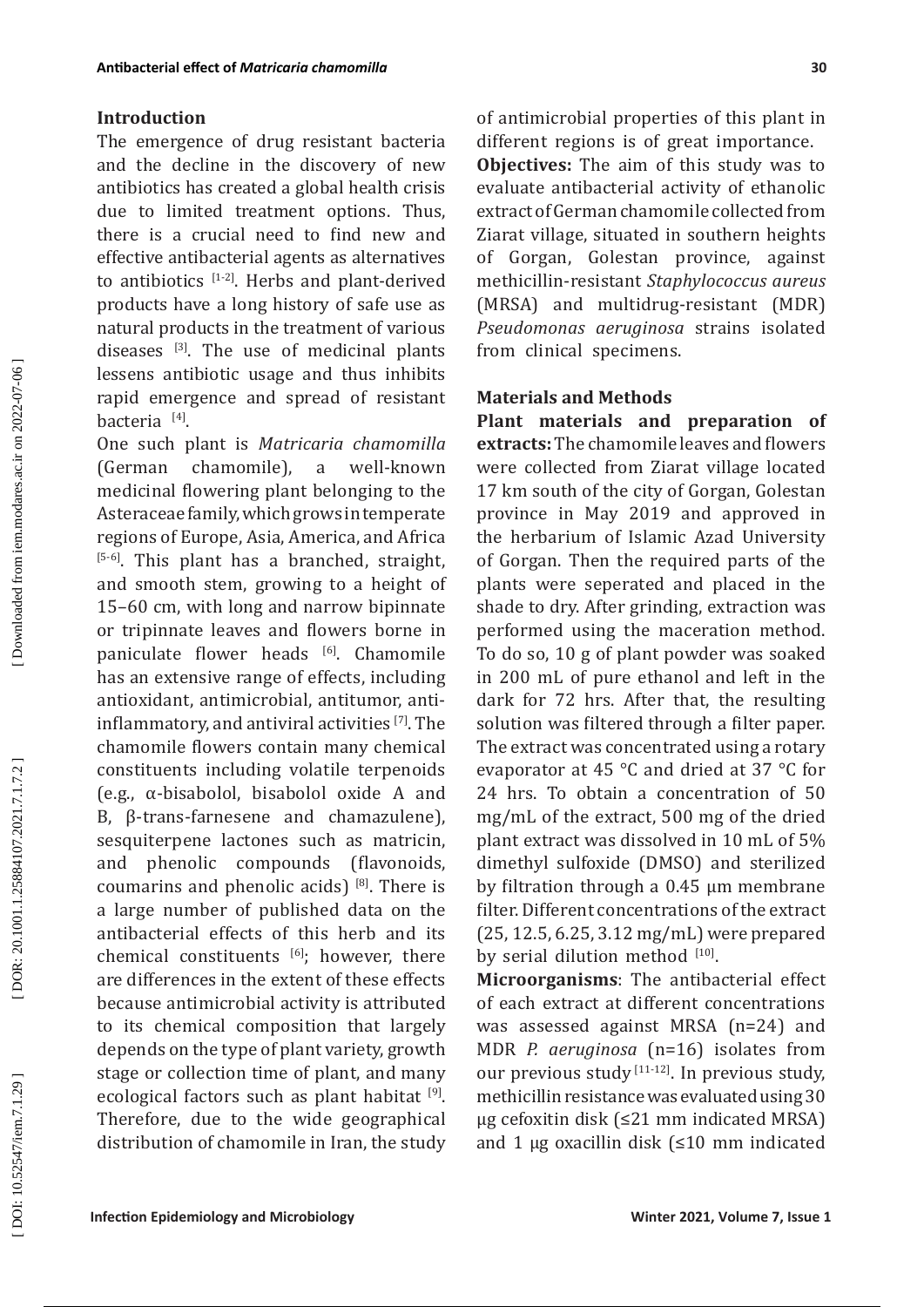## **Introduction**

The emergence of drug resistant bacteria and the decline in the discovery of new antibiotics has created a global health crisis due to limited treatment options. Thus, there is a crucial need to find new and effective antibacterial agents as alternatives to antibiotics  $[1-2]$ . Herbs and plant-derived products have a long history of safe use as natural products in the treatment of various diseases  $[3]$ . The use of medicinal plants lessens antibiotic usage and thus inhibits rapid emergence and spread of resistant bacteria [4].

One such plant is *Matricaria chamomilla*  (German chamomile), a well-known medicinal flowering plant belonging to the Asteraceae family, which grows in temperate regions of Europe, Asia, America, and Africa [5-6]. This plant has a branched, straight, and smooth stem, growing to a height of 15–60 cm, with long and narrow bipinnate or tripinnate leaves and flowers borne in paniculate flower heads [6]. Chamomile has an extensive range of effects , including antioxidant, antimicrobial, antitumor, antiinflammatory, and antiviral activities [7]. The chamomile flowers contain many chemical constituents including volatile terpenoids (e.g., α-bisabolol, bisabolol oxide A and B, β-trans-farnesene and chamazulene), sesquiterpene lactones such as matricin, and phenolic compounds (flavonoids, coumarins and phenolic acids)  $[8]$ . There is a large number of published data on the antibacterial effects of this herb and its chemical constituents [6]; however, there are differences in the extent of these effects because antimicrobial activity is attributed to its chemical composition that largely depends on the type of plant variety, growth stage or collection time of plant, and many ecological factors such as plant habitat [9]. Therefore, due to the wide geographical distribution of chamomile in Iran, the study

of antimicrobial properties of this plant in different regions is of great importance. **Objectives:** The aim of this study was to evaluate antibacterial activity of ethanolic extract of German chamomile collected from Ziarat village, situated in southern heights of Gorgan, Golestan province, against methicillin-resistant *Staphylococcus aureus* (MRSA) and multidrug-resistant (MDR) *Pseudomonas aeruginosa* strains isolated from clinical specimens.

## **Materials and Methods**

**Plant materials and preparation of extracts:** The chamomile leaves and flowers were collected from Ziarat village located 17 km south of the city of Gorgan, Golestan province in May 2019 and approved in the herbarium of Islamic Azad University of Gorgan. Then the required parts of the plants were seperated and placed in the shade to dry. After grinding, extraction was performed using the maceration method. To do so, 10 g of plant powder was soaked in 200 mL of pure ethanol and left in the dark for 72 hrs. After that, the resulting solution was filtered through a filter paper. The extract was concentrated using a rotary evaporator at 45 °C and dried at 37 °C for 24 hrs. To obtain a concentration of 50 mg/mL of the extract, 500 mg of the dried plant extract was dissolved in 10 mL of 5% dimethyl sulfoxide (DMSO) and sterilized by filtration through a 0.45 µm membrane filter. Different concentrations of the extract (25, 12.5, 6.25, 3.12 mg/mL) were prepared by serial dilution method [10].

**Microorganisms**: The antibacterial effect of each extract at different concentrations was assessed against MRSA (n=24) and MDR *P. aeruginosa* (n=16) isolates from our previous study <a>[11-12]</a>. In previous study, methicillin resistance was evaluated using 30 μg cefoxitin disk (≤21 mm indicated MRSA) and 1 μg oxacillin disk (≤10 mm indicated

DOI: 10.52547/iem.7.1.29]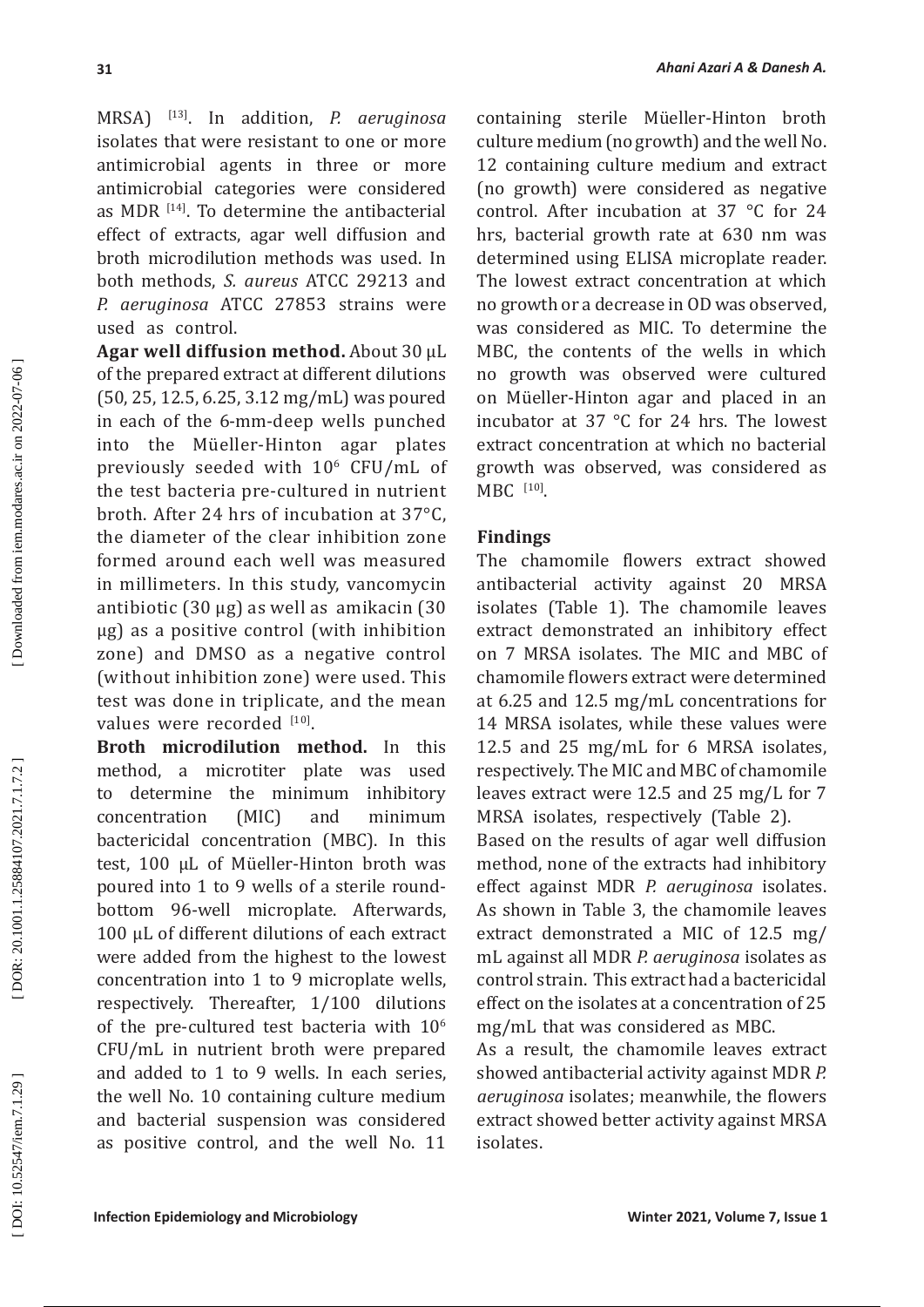MRSA) [13]. In addition, *P. aeruginosa*  isolates that were resistant to one or more antimicrobial agents in three or more antimicrobial categories were considered as MDR  $[14]$ . To determine the antibacterial effect of extracts, agar well diffusion and broth microdilution methods was used. In both methods, *S. aureus* ATCC 29213 and *P. aeruginosa* ATCC 27853 strains were used as control.

**Agar well diffusion method.** About 30 μL of the prepared extract at different dilutions (50, 25, 12.5, 6.25, 3.12 mg/mL) was poured in each of the 6-mm-deep wells punched into the Müeller-Hinton agar plates previously seeded with 10 6 CFU/mL of the test bacteria pre-cultured in nutrient broth. After 24 hrs of incubation at 37°C, the diameter of the clear inhibition zone formed around each well was measured in millimeters. In this study, vancomycin antibiotic (30 μg) as well as amikacin (30 μg) as a positive control (with inhibition zone) and DMSO as a negative control (without inhibition zone) were used. This test was done in triplicate, and the mean values were recorded  $[10]$ .

**Broth microdilution method.** In this method, a microtiter plate was used to determine the minimum inhibitory concentration (MIC) and minimum bactericidal concentration (MBC). In this test, 100 μL of Müeller-Hinton broth was poured into 1 to 9 wells of a sterile roundbottom 96-well microplate. Afterwards, 100 μL of different dilutions of each extract were added from the highest to the lowest concentration into 1 to 9 microplate wells, respectively. Thereafter, 1/100 dilutions of the pre-cultured test bacteria with  $10<sup>6</sup>$ CFU/mL in nutrient broth were prepared and added to 1 to 9 wells. In each series, the well No. 10 containing culture medium and bacterial suspension was considered as positive control, and the well No. 11

containing sterile Müeller-Hinton broth culture medium (no growth) and the well No. 12 containing culture medium and extract (no growth) were considered as negative control. After incubation at 37 °C for 24 hrs, bacterial growth rate at 630 nm was determined using ELISA microplate reader. The lowest extract concentration at which no growth or a decrease in OD was observed, was considered as MIC. To determine the MBC, the contents of the wells in which no growth was observed were cultured on Müeller-Hinton agar and placed in an incubator at 37 °C for 24 hrs. The lowest extract concentration at which no bacterial growth was observed, was considered as  $MBC$ <sup>[10]</sup>.

## **Findings**

The chamomile flowers extract showed antibacterial activity against 20 MRSA isolates (Table 1). The chamomile leaves extract demonstrated an inhibitory effect on 7 MRSA isolates. The MIC and MBC of chamomile flowers extract were determined at 6.25 and 12.5 mg/mL concentrations for 14 MRSA isolates, while these values were 12.5 and 25 mg/mL for 6 MRSA isolates, respectively. The MIC and MBC of chamomile leaves extract were 12.5 and 25 mg/L for 7 MRSA isolates, respectively (Table 2).

Based on the results of agar well diffusion method, none of the extracts had inhibitory effect against MDR *P. aeruginosa* isolates. As shown in Table 3, the chamomile leaves extract demonstrated a MIC of 12.5 mg/ mL against all MDR *P. aeruginosa* isolates as control strain. This extract had a bactericidal effect on the isolates at a concentration of 25 mg/mL that was considered as MBC.

As a result, the chamomile leaves extract showed antibacterial activity against MDR *P. aeruginosa* isolates; meanwhile, the flowers extract showed better activity against MRSA isolates.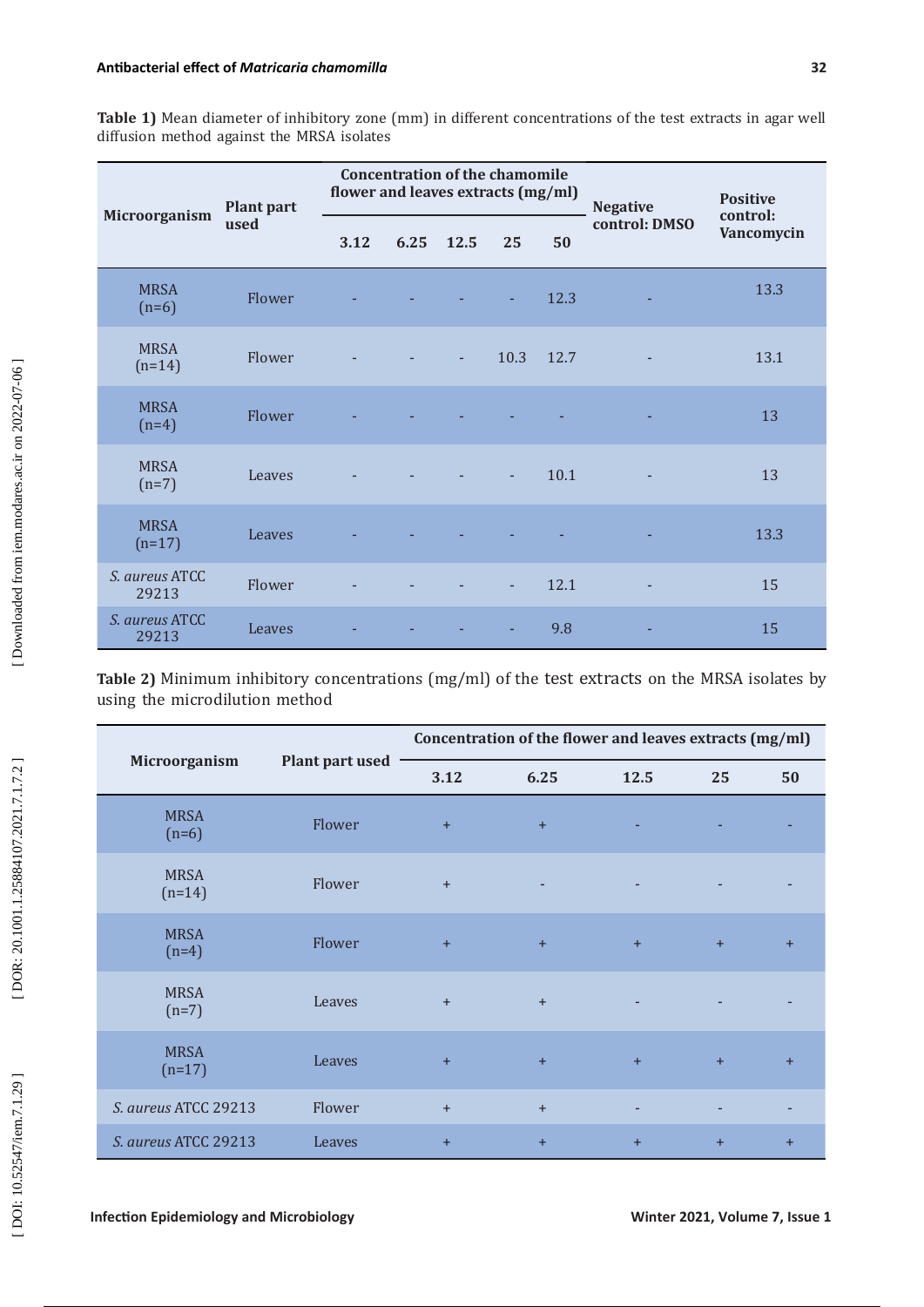| Table 1) Mean diameter of inhibitory zone (mm) in different concentrations of the test extracts in agar well |  |  |  |  |
|--------------------------------------------------------------------------------------------------------------|--|--|--|--|
| diffusion method against the MRSA isolates                                                                   |  |  |  |  |

|                         | <b>Plant part</b><br>used | <b>Concentration of the chamomile</b><br>flower and leaves extracts (mg/ml) |      |      |                |      | <b>Negative</b>          | <b>Positive</b>        |  |
|-------------------------|---------------------------|-----------------------------------------------------------------------------|------|------|----------------|------|--------------------------|------------------------|--|
| Microorganism           |                           | 3.12                                                                        | 6.25 | 12.5 | 25             | 50   | control: DMSO            | control:<br>Vancomycin |  |
| <b>MRSA</b><br>$(n=6)$  | Flower                    |                                                                             |      |      |                | 12.3 |                          | 13.3                   |  |
| <b>MRSA</b><br>$(n=14)$ | Flower                    |                                                                             |      | ٠    | 10.3           | 12.7 | $\overline{\phantom{a}}$ | 13.1                   |  |
| <b>MRSA</b><br>$(n=4)$  | Flower                    |                                                                             |      |      |                |      |                          | 13                     |  |
| <b>MRSA</b><br>$(n=7)$  | Leaves                    |                                                                             |      |      | $\blacksquare$ | 10.1 | $\overline{\phantom{a}}$ | 13                     |  |
| <b>MRSA</b><br>$(n=17)$ | Leaves                    |                                                                             |      |      |                |      |                          | 13.3                   |  |
| S. aureus ATCC<br>29213 | Flower                    |                                                                             |      |      |                | 12.1 |                          | 15                     |  |
| S. aureus ATCC<br>29213 | Leaves                    |                                                                             |      |      | ٠              | 9.8  |                          | 15                     |  |

**Table 2)** Minimum inhibitory concentrations (mg/ml) of the test extracts on the MRSA isolates by using the microdilution method

|                         |                        | Concentration of the flower and leaves extracts (mg/ml) |           |      |     |           |  |  |  |
|-------------------------|------------------------|---------------------------------------------------------|-----------|------|-----|-----------|--|--|--|
| Microorganism           | <b>Plant part used</b> | 3.12                                                    | 6.25      | 12.5 | 25  | 50        |  |  |  |
| <b>MRSA</b><br>$(n=6)$  | Flower                 | $+$                                                     | $+$       |      |     |           |  |  |  |
| <b>MRSA</b><br>$(n=14)$ | Flower                 | $+$                                                     |           |      |     |           |  |  |  |
| <b>MRSA</b><br>$(n=4)$  | Flower                 | $+$                                                     | $\ddot{}$ | $+$  | $+$ | $\ddot{}$ |  |  |  |
| <b>MRSA</b><br>$(n=7)$  | Leaves                 | $+$                                                     | $+$       |      |     |           |  |  |  |
| <b>MRSA</b><br>$(n=17)$ | Leaves                 | $+$                                                     | $+$       | $+$  | $+$ | $+$       |  |  |  |
| S. aureus ATCC 29213    | Flower                 | $+$                                                     | $+$       |      |     |           |  |  |  |
| S. aureus ATCC 29213    | Leaves                 | $+$                                                     | $+$       | $+$  | $+$ | $+$       |  |  |  |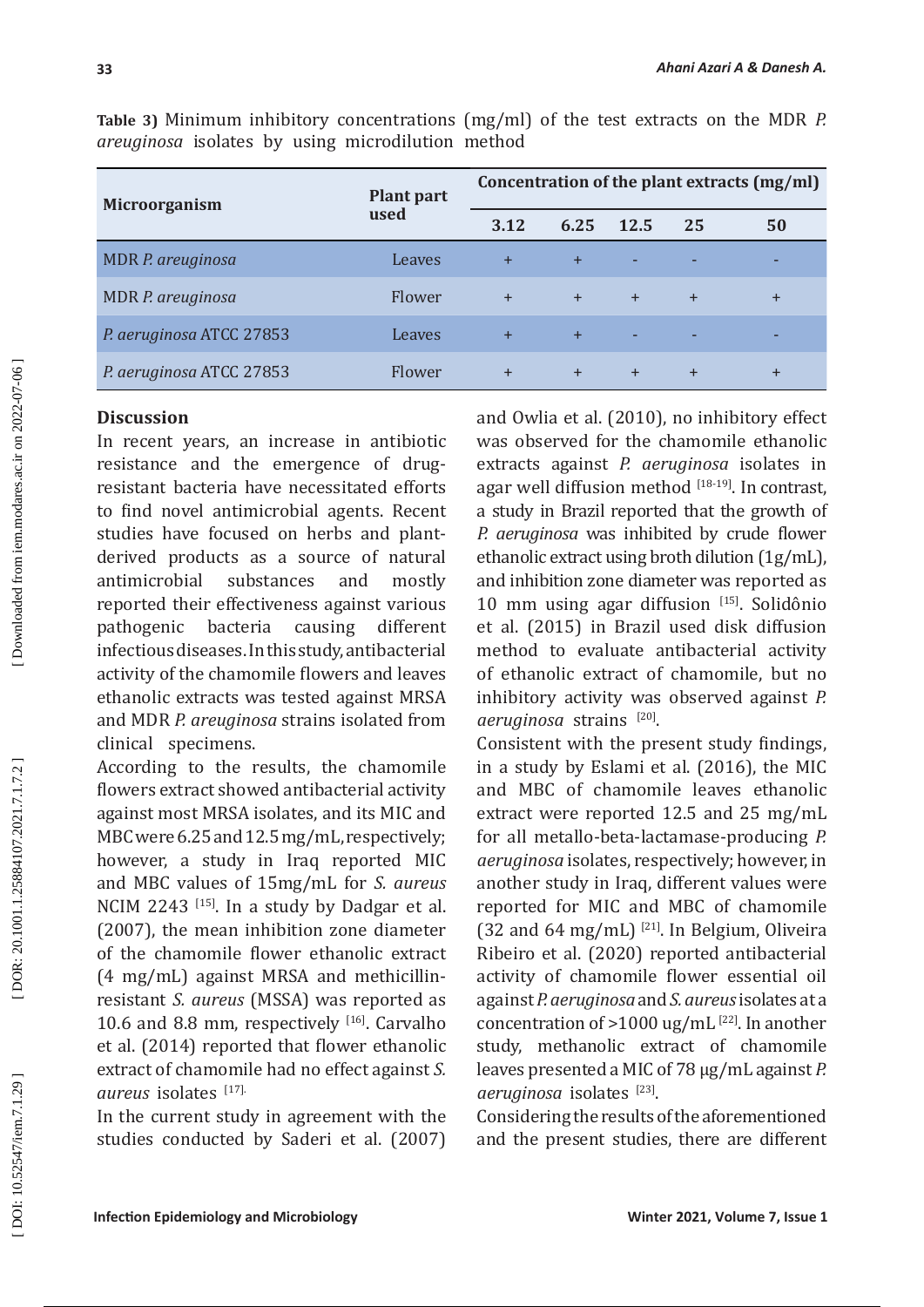| Microorganism            | Plant part | Concentration of the plant extracts (mg/ml) |      |             |           |       |  |
|--------------------------|------------|---------------------------------------------|------|-------------|-----------|-------|--|
|                          | used       | 3.12                                        | 6.25 | <b>12.5</b> | 25        | 50    |  |
| MDR P. areuginosa        | Leaves     | $+$                                         | $+$  | ٠           |           |       |  |
| MDR P. areuginosa        | Flower     | $\ddot{}$                                   | $+$  | $+$         | $\div$    | $\pm$ |  |
| P. aeruginosa ATCC 27853 | Leaves     | $+$                                         | $+$  | ٠           |           |       |  |
| P. aeruginosa ATCC 27853 | Flower     | $+$                                         | $+$  | $+$         | $\ddot{}$ | $\pm$ |  |

**Table 3)** Minimum inhibitory concentrations (mg/ml) of the test extracts on the MDR *P. areuginosa* isolates by using microdilution method

# **Discussion**

In recent years, an increase in antibiotic resistance and the emergence of drugresistant bacteria have necessitated efforts to find novel antimicrobial agents. Recent studies have focused on herbs and plantderived products as a source of natural antimicrobial substances and mostly reported their effectiveness against various pathogenic bacteria causing different infectious diseases. In this study, antibacterial activity of the chamomile flowers and leaves ethanolic extracts was tested against MRSA and MDR *P. areuginosa* strains isolated from clinical specimens.

According to the results, the chamomile flowers extract showed antibacterial activity against most MRSA isolates, and its MIC and MBC were 6.25 and 12.5 mg/mL, respectively; however, a study in Iraq reported MIC and MBC values of 15mg/mL for *S. aureus* NCIM 2243<sup>[15]</sup>. In a study by Dadgar et al. (2007), the mean inhibition zone diameter of the chamomile flower ethanolic extract (4 mg/mL) against MRSA and methicillinresistant *S. aureus* (MSSA) was reported as 10.6 and 8.8 mm, respectively  $^{[16]}$ . Carvalho et al. (2014) reported that flower ethanolic extract of chamomile had no effect against *S. aureus* isolates [17].

In the current study in agreement with the studies conducted by Saderi et al. (2007) and Owlia et al. (2010), no inhibitory effect was observed for the chamomile ethanolic extracts against *P. aeruginosa* isolates in agar well diffusion method  $[18-19]$ . In contrast, a study in Brazil reported that the growth of *P. aeruginosa* was inhibited by crude flower ethanolic extract using broth dilution (1g/mL), and inhibition zone diameter was reported as 10 mm using agar diffusion  $[15]$ . Solidônio et al. (2015) in Brazil used disk diffusion method to evaluate antibacterial activity of ethanolic extract of chamomile, but no inhibitory activity was observed against *P. aeruginosa* strains [20] .

Consistent with the present study findings, in a study by Eslami et al. (2016), the MIC and MBC of chamomile leaves ethanolic extract were reported 12.5 and 25 mg/mL for all metallo-beta-lactamase-producing *P. aeruginosa* isolates, respectively; however, in another study in Iraq, different values were reported for MIC and MBC of chamomile (32 and 64 mg/mL)  $^{[21]}$ . In Belgium, Oliveira Ribeiro et al. (2020) reported antibacterial activity of chamomile flower essential oil against *P. aeruginosa* and *S. aureus* isolates at a concentration of  $>1000$  ug/mL<sup>[22]</sup>. In another study, methanolic extract of chamomile leaves presented a MIC of 78 μg/mL against *P. aeruginosa* isolates [23].

Considering the results of the aforementioned and the present studies, there are different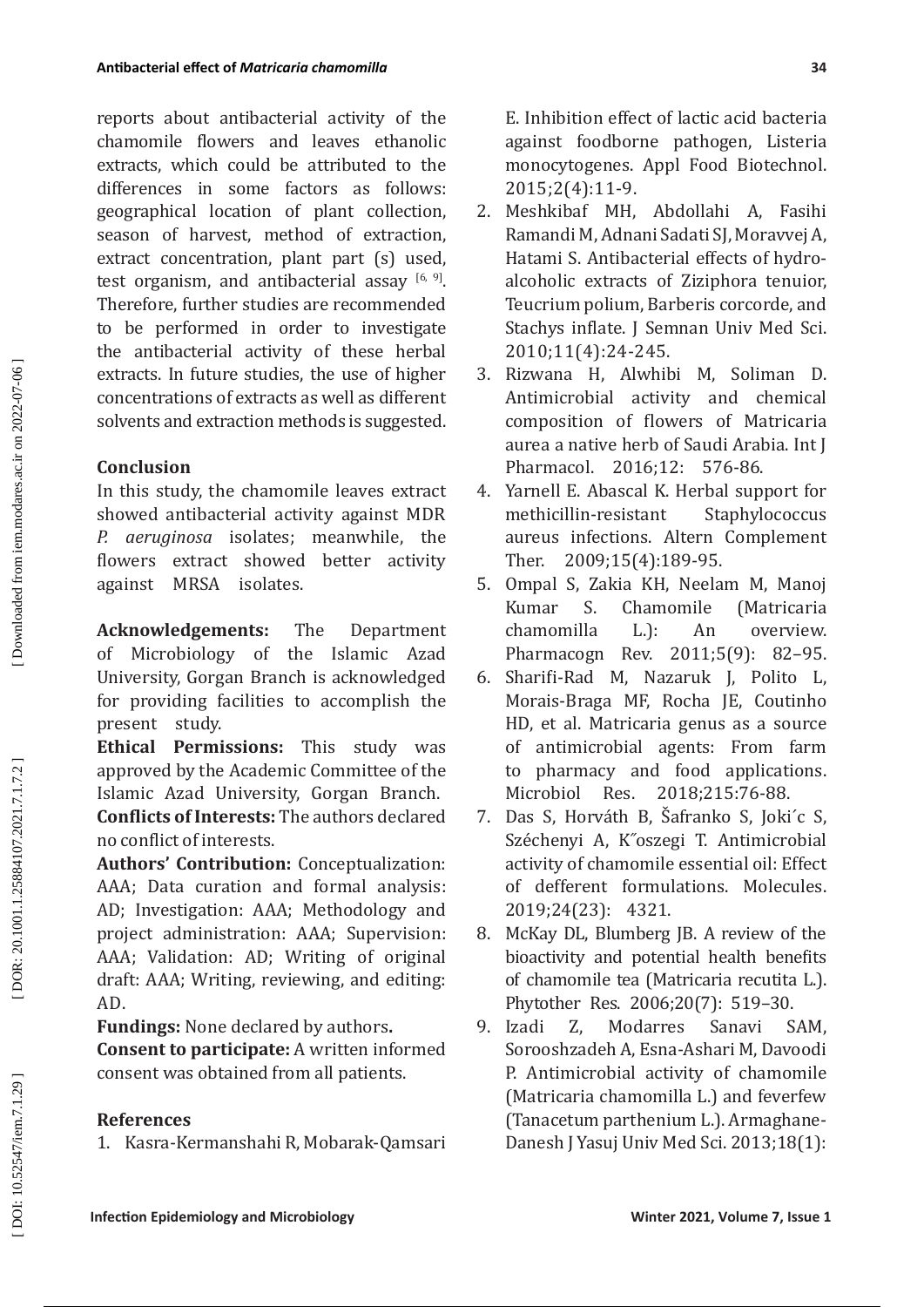reports about antibacterial activity of the chamomile flowers and leaves ethanolic extracts, which could be attributed to the differences in some factors as follows: geographical location of plant collection, season of harvest, method of extraction, extract concentration, plant part (s) used, test organism, and antibacterial assay  $[6, 9]$ . Therefore, further studies are recommended to be performed in order to investigate the antibacterial activity of these herbal extracts. In future studies, the use of higher concentrations of extracts as well as different solvents and extraction methods is suggested.

# **Conclusion**

In this study, the chamomile leaves extract showed antibacterial activity against MDR *P. aeruginosa* isolates; meanwhile, the flowers extract showed better activity against MRSA isolates.

**Acknowledgements:** The Department of Microbiology of the Islamic Azad University, Gorgan Branch is acknowledged for providing facilities to accomplish the present study.

**Ethical Permissions:** This study was approved by the Academic Committee of the Islamic Azad University, Gorgan Branch. **Conflicts of Interests:** The authors declared no conflict of interests.

**Authors' Contribution:** Conceptualization: AAA; Data curation and formal analysis: AD; Investigation: AAA; Methodology and project administration: AAA; Supervision: AAA; Validation: AD; Writing of original draft: AAA; Writing, reviewing, and editing: AD.

**Fundings:** None declared by authors **. Consent to participate:** A written informed consent was obtained from all patients.

# **References**

1. Kasra-Kermanshahi R, Mobarak-Qamsari

E. Inhibition effect of lactic acid bacteria against foodborne pathogen, Listeria monocytogenes. Appl Food Biotechnol. 2015;2(4):11-9.

- 2. Meshkibaf MH, Abdollahi A, Fasihi Ramandi M, Adnani Sadati SJ, Moravvej A, Hatami S. Antibacterial effects of hydroalcoholic extracts of Ziziphora tenuior, Teucrium polium, Barberis corcorde, and Stachys inflate. J Semnan Univ Med Sci. 2010;11(4):24-245.
- 3. Rizwana H, Alwhibi M, Soliman D. Antimicrobial activity and chemical composition of flowers of Matricaria aurea a native herb of Saudi Arabia. Int J Pharmacol. 2016;12: 576-86.
- 4. Yarnell E. Abascal K. Herbal support for methicillin-resistant Staphylococcus aureus infections. Altern Complement Ther. 2009;15(4):189-95 .
- 5. Ompal S, Zakia KH, Neelam M, Manoj Chamomile chamomilla L.): An overview. Pharmacogn Rev. 2011;5(9): 82–95.
- 6. Sharifi-Rad M, Nazaruk J, Polito L, Morais-Braga MF, Rocha JE, Coutinho HD, et al. Matricaria genus as a source of antimicrobial agents: From farm to pharmacy and food applications.<br>Microbiol Res. 2018:215:76-88. 2018:215:76-88.
- 7. Das S, Horváth B, Š�afranko S, Joki´c S, Széchenyi A, K˝oszegi T. Antimicrobial activity of chamomile essential oil: Effect of defferent formulations. Molecules. 2019;24(23): 4321.
- 8. McKay DL, Blumberg JB. A review of the bioactivity and potential health benefits of chamomile tea (Matricaria recutita L.). Phytother Res. 2006;20(7): 519-30.<br>9. Izadi Z. Modarres Sanavi S.
- Z. Modarres Sanavi SAM, Sorooshzadeh A, Esna-Ashari M, Davoodi P. Antimicrobial activity of chamomile (Matricaria chamomilla L.) and feverfew (Tanacetum parthenium L.). Armaghane-Danesh J Yasuj Univ Med Sci. 2013;18(1):

DOI: 10.52547/iem.7.1.29]